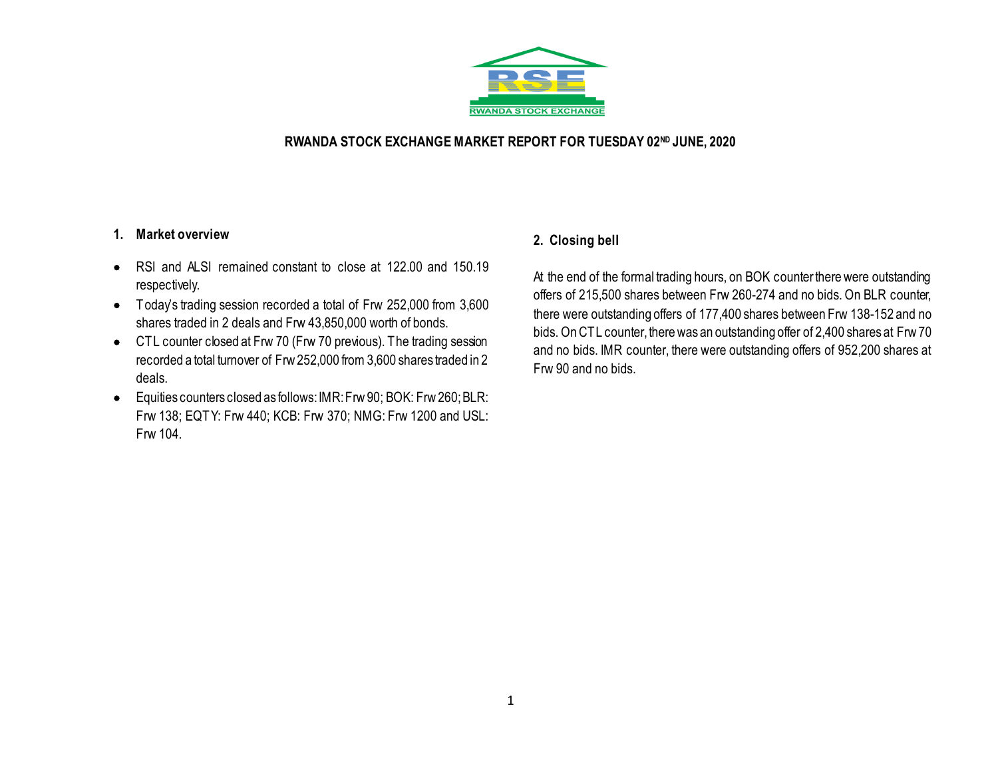

## **RWANDA STOCK EXCHANGE MARKET REPORT FOR TUESDAY 02ND JUNE, 2020**

### **1. Market overview**

- RSI and ALSI remained constant to close at 122.00 and 150.19 respectively.
- Today's trading session recorded a total of Frw 252,000 from 3,600 shares traded in 2 deals and Frw 43,850,000 worth of bonds.
- CTL counter closed at Frw 70 (Frw 70 previous). The trading session recorded a total turnover of Frw 252,000 from 3,600 shares traded in 2 deals.
- Equities counters closed as follows:IMR: Frw 90; BOK: Frw260; BLR: Frw 138; EQTY: Frw 440; KCB: Frw 370; NMG: Frw 1200 and USL: Frw 104.

## **2. Closing bell**

At the end of the formal trading hours, on BOK counter there were outstanding offers of 215,500 shares between Frw 260-274 and no bids. On BLR counter, there were outstanding offers of 177,400 shares between Frw 138-152 and no bids. On CTL counter, there was an outstanding offer of 2,400 shares at Frw 70 and no bids. IMR counter, there were outstanding offers of 952,200 shares at Frw 90 and no bids.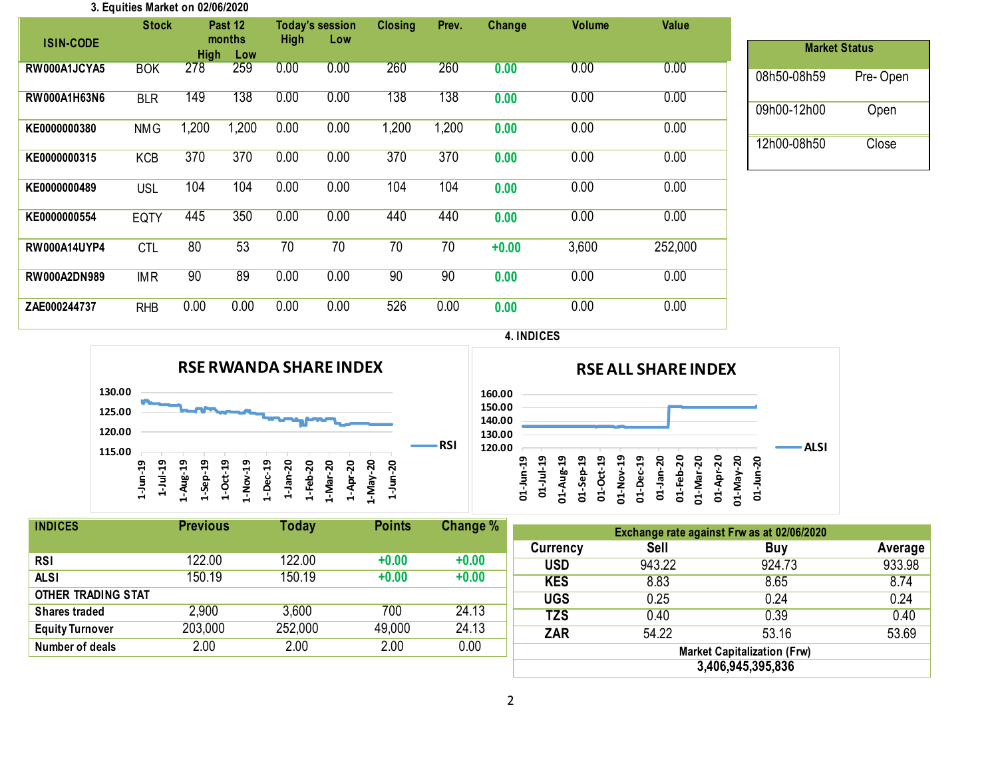#### **3. Equities Market on 02/06/2020**

| <b>ISIN-CODE</b>    | <b>Stock</b> |                    | Past 12<br>months | <b>High</b> | <b>Today's session</b><br>Low | <b>Closing</b> | Prev. | Change  | <b>Volume</b> | Value   |
|---------------------|--------------|--------------------|-------------------|-------------|-------------------------------|----------------|-------|---------|---------------|---------|
| RW000A1JCYA5        | <b>BOK</b>   | <b>High</b><br>278 | Low<br>259        | 0.00        | 0.00                          | 260            | 260   | 0.00    | 0.00          | 0.00    |
| RW000A1H63N6        | <b>BLR</b>   | 149                | 138               | 0.00        | 0.00                          | 138            | 138   | 0.00    | 0.00          | 0.00    |
| KE0000000380        | <b>NMG</b>   | 1,200              | 1,200             | 0.00        | 0.00                          | 1,200          | 1,200 | 0.00    | 0.00          | 0.00    |
| KE0000000315        | <b>KCB</b>   | 370                | 370               | 0.00        | 0.00                          | 370            | 370   | 0.00    | 0.00          | 0.00    |
| KE0000000489        | <b>USL</b>   | 104                | 104               | 0.00        | 0.00                          | 104            | 104   | 0.00    | 0.00          | 0.00    |
| KE0000000554        | EQTY         | 445                | 350               | 0.00        | 0.00                          | 440            | 440   | 0.00    | 0.00          | 0.00    |
| <b>RW000A14UYP4</b> | <b>CTL</b>   | 80                 | 53                | 70          | 70                            | 70             | 70    | $+0.00$ | 3,600         | 252,000 |
| <b>RW000A2DN989</b> | <b>IMR</b>   | 90                 | 89                | 0.00        | 0.00                          | 90             | 90    | 0.00    | 0.00          | 0.00    |
| ZAE000244737        | <b>RHB</b>   | 0.00               | 0.00              | 0.00        | 0.00                          | 526            | 0.00  | 0.00    | 0.00          | 0.00    |

| <b>Market Status</b> |          |
|----------------------|----------|
| 08h50-08h59          | Pre-Open |
| 09h00-12h00          | Open     |
| 12h00-08h50          | Close    |

**4. INDICES**



| <b>RSE ALL SHARE INDEX</b>           |              |             |                            |              |               |               |             |           |                  |                |                     |               |         |             |  |
|--------------------------------------|--------------|-------------|----------------------------|--------------|---------------|---------------|-------------|-----------|------------------|----------------|---------------------|---------------|---------|-------------|--|
| 160.00<br>150.00<br>140.00<br>130.00 |              |             |                            |              |               |               |             |           |                  |                |                     |               |         |             |  |
| 120.00                               | ဒ္<br>01-Jun | თ<br>ٻ<br>ミ | თ<br>⊣<br>Aug-<br>- I<br>5 | ဍ<br>01-Sep- | ဒ္<br>ğ<br>ຮ່ | ဒ္<br>01-Nov- | ន<br>D1-Dec | 01-Jan-20 | នុ<br>$01 - Feb$ | នុ<br>δă<br>ਤੋ | آج<br>1<br>දි<br>ਠੰ | ຊ<br>VeM<br>금 | នុ<br>금 | <b>ALSI</b> |  |

| <b>INDICES</b>            | <b>Previous</b> | <b>Today</b> | <b>Points</b> | Change % |
|---------------------------|-----------------|--------------|---------------|----------|
|                           |                 |              |               |          |
| <b>RSI</b>                | 122.00          | 122.00       | $+0.00$       | $+0.00$  |
| <b>ALSI</b>               | 150.19          | 150.19       | $+0.00$       | $+0.00$  |
| <b>OTHER TRADING STAT</b> |                 |              |               |          |
| <b>Shares traded</b>      | 2,900           | 3,600        | 700           | 24.13    |
| <b>Equity Turnover</b>    | 203,000         | 252,000      | 49,000        | 24.13    |
| Number of deals           | 2.00            | 2.00         | 2.00          | 0.00     |
|                           |                 |              |               |          |

| Exchange rate against Frw as at 02/06/2020 |        |        |         |  |  |  |  |  |
|--------------------------------------------|--------|--------|---------|--|--|--|--|--|
| <b>Currency</b>                            | Sell   | Buy    | Average |  |  |  |  |  |
| <b>USD</b>                                 | 943.22 | 924.73 | 933.98  |  |  |  |  |  |
| <b>KES</b>                                 | 8.83   | 8.65   | 8.74    |  |  |  |  |  |
| <b>UGS</b>                                 | 0.25   | 0.24   | 0.24    |  |  |  |  |  |
| <b>TZS</b>                                 | 0.40   | 0.39   | 0.40    |  |  |  |  |  |
| <b>ZAR</b>                                 | 54.22  | 53.16  | 53.69   |  |  |  |  |  |
| <b>Market Capitalization (Frw)</b>         |        |        |         |  |  |  |  |  |
| 3,406,945,395,836                          |        |        |         |  |  |  |  |  |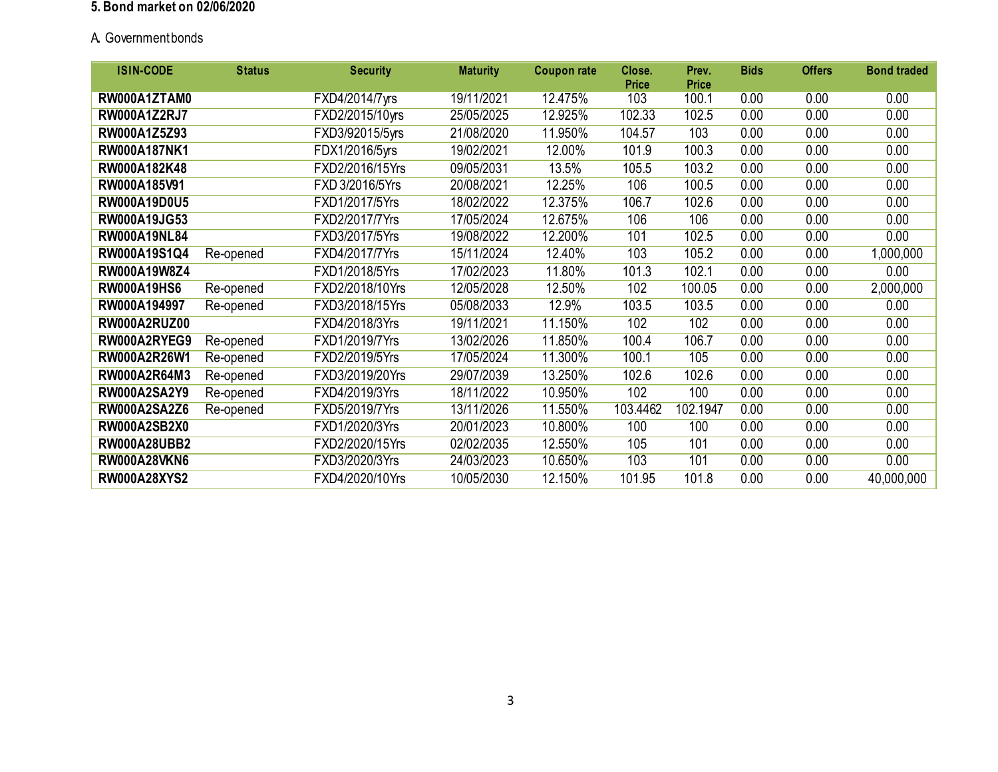#### **5. Bond market on 02/06/2020**

# A**.** Government bonds

| <b>ISIN-CODE</b>    | <b>Status</b> | <b>Security</b> | <b>Maturity</b> | <b>Coupon rate</b> | Close.       | Prev.        | <b>Bids</b> | <b>Offers</b> | <b>Bond traded</b> |
|---------------------|---------------|-----------------|-----------------|--------------------|--------------|--------------|-------------|---------------|--------------------|
|                     |               |                 |                 |                    | <b>Price</b> | <b>Price</b> |             |               |                    |
| RW000A1ZTAM0        |               | FXD4/2014/7yrs  | 19/11/2021      | 12.475%            | 103          | 100.1        | 0.00        | 0.00          | 0.00               |
| <b>RW000A1Z2RJ7</b> |               | FXD2/2015/10yrs | 25/05/2025      | 12.925%            | 102.33       | 102.5        | 0.00        | 0.00          | 0.00               |
| RW000A1Z5Z93        |               | FXD3/92015/5yrs | 21/08/2020      | 11.950%            | 104.57       | 103          | 0.00        | 0.00          | 0.00               |
| RW000A187NK1        |               | FDX1/2016/5yrs  | 19/02/2021      | 12.00%             | 101.9        | 100.3        | 0.00        | 0.00          | 0.00               |
| RW000A182K48        |               | FXD2/2016/15Yrs | 09/05/2031      | 13.5%              | 105.5        | 103.2        | 0.00        | 0.00          | 0.00               |
| RW000A185V91        |               | FXD 3/2016/5Yrs | 20/08/2021      | 12.25%             | 106          | 100.5        | 0.00        | 0.00          | 0.00               |
| <b>RW000A19D0U5</b> |               | FXD1/2017/5Yrs  | 18/02/2022      | 12.375%            | 106.7        | 102.6        | 0.00        | 0.00          | 0.00               |
| RW000A19JG53        |               | FXD2/2017/7Yrs  | 17/05/2024      | 12.675%            | 106          | 106          | 0.00        | 0.00          | 0.00               |
| <b>RW000A19NL84</b> |               | FXD3/2017/5Yrs  | 19/08/2022      | 12.200%            | 101          | 102.5        | 0.00        | 0.00          | 0.00               |
| RW000A19S1Q4        | Re-opened     | FXD4/2017/7Yrs  | 15/11/2024      | 12.40%             | 103          | 105.2        | 0.00        | 0.00          | 1,000,000          |
| RW000A19W8Z4        |               | FXD1/2018/5Yrs  | 17/02/2023      | 11.80%             | 101.3        | 102.1        | 0.00        | 0.00          | 0.00               |
| <b>RW000A19HS6</b>  | Re-opened     | FXD2/2018/10Yrs | 12/05/2028      | 12.50%             | 102          | 100.05       | 0.00        | 0.00          | 2,000,000          |
| RW000A194997        | Re-opened     | FXD3/2018/15Yrs | 05/08/2033      | 12.9%              | 103.5        | 103.5        | 0.00        | 0.00          | 0.00               |
| RW000A2RUZ00        |               | FXD4/2018/3Yrs  | 19/11/2021      | 11.150%            | 102          | 102          | 0.00        | 0.00          | 0.00               |
| RW000A2RYEG9        | Re-opened     | FXD1/2019/7Yrs  | 13/02/2026      | 11.850%            | 100.4        | 106.7        | 0.00        | 0.00          | 0.00               |
| RW000A2R26W1        | Re-opened     | FXD2/2019/5Yrs  | 17/05/2024      | 11.300%            | 100.1        | 105          | 0.00        | 0.00          | 0.00               |
| RW000A2R64M3        | Re-opened     | FXD3/2019/20Yrs | 29/07/2039      | 13.250%            | 102.6        | 102.6        | 0.00        | 0.00          | 0.00               |
| RW000A2SA2Y9        | Re-opened     | FXD4/2019/3Yrs  | 18/11/2022      | 10.950%            | 102          | 100          | 0.00        | 0.00          | 0.00               |
| <b>RW000A2SA2Z6</b> | Re-opened     | FXD5/2019/7Yrs  | 13/11/2026      | 11.550%            | 103.4462     | 102.1947     | 0.00        | 0.00          | 0.00               |
| <b>RW000A2SB2X0</b> |               | FXD1/2020/3Yrs  | 20/01/2023      | 10.800%            | 100          | 100          | 0.00        | 0.00          | 0.00               |
| <b>RW000A28UBB2</b> |               | FXD2/2020/15Yrs | 02/02/2035      | 12.550%            | 105          | 101          | 0.00        | 0.00          | 0.00               |
| <b>RW000A28VKN6</b> |               | FXD3/2020/3Yrs  | 24/03/2023      | 10.650%            | 103          | 101          | 0.00        | 0.00          | 0.00               |
| <b>RW000A28XYS2</b> |               | FXD4/2020/10Yrs | 10/05/2030      | 12.150%            | 101.95       | 101.8        | 0.00        | 0.00          | 40,000,000         |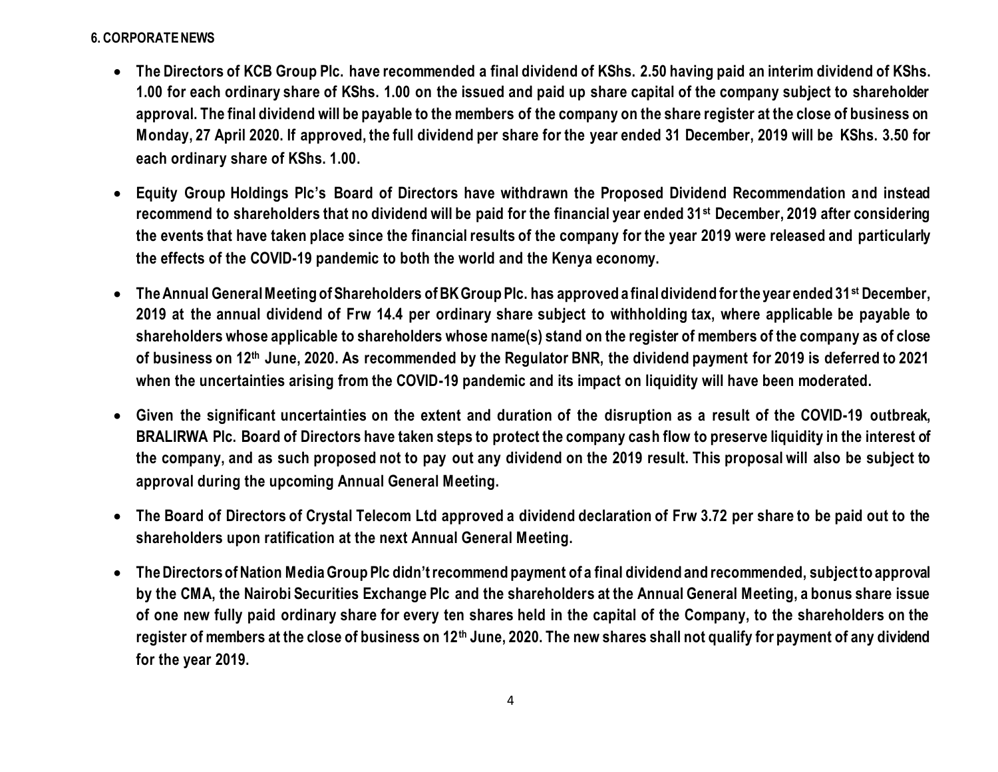# **6. CORPORATE NEWS**

- **The Directors of KCB Group Plc. have recommended a final dividend of KShs. 2.50 having paid an interim dividend of KShs. 1.00 for each ordinary share of KShs. 1.00 on the issued and paid up share capital of the company subject to shareholder approval. The final dividend will be payable to the members of the company on the share register at the close of business on Monday, 27 April 2020. If approved, the full dividend per share for the year ended 31 December, 2019 will be KShs. 3.50 for each ordinary share of KShs. 1.00.**
- **Equity Group Holdings Plc's Board of Directors have withdrawn the Proposed Dividend Recommendation and instead recommend to shareholders that no dividend will be paid for the financial year ended 31st December, 2019 after considering the events that have taken place since the financial results of the company for the year 2019 were released and particularly the effects of the COVID-19 pandemic to both the world and the Kenya economy.**
- **The Annual General Meeting of Shareholders of BK Group Plc. has approved a final dividend for the year ended 31st December, 2019 at the annual dividend of Frw 14.4 per ordinary share subject to withholding tax, where applicable be payable to shareholders whose applicable to shareholders whose name(s) stand on the register of members of the company as of close of business on 12th June, 2020. As recommended by the Regulator BNR, the dividend payment for 2019 is deferred to 2021 when the uncertainties arising from the COVID-19 pandemic and its impact on liquidity will have been moderated.**
- **Given the significant uncertainties on the extent and duration of the disruption as a result of the COVID-19 outbreak, BRALIRWA Plc. Board of Directors have taken steps to protect the company cash flow to preserve liquidity in the interest of the company, and as such proposed not to pay out any dividend on the 2019 result. This proposal will also be subject to approval during the upcoming Annual General Meeting.**
- **The Board of Directors of Crystal Telecom Ltd approved a dividend declaration of Frw 3.72 per share to be paid out to the shareholders upon ratification at the next Annual General Meeting.**
- **The Directors of Nation Media Group Plc didn't recommend payment of a final dividend and recommended, subject to approval by the CMA, the Nairobi Securities Exchange Plc and the shareholders at the Annual General Meeting, a bonus share issue of one new fully paid ordinary share for every ten shares held in the capital of the Company, to the shareholders on the register of members at the close of business on 12th June, 2020. The new shares shall not qualify for payment of any dividend for the year 2019.**